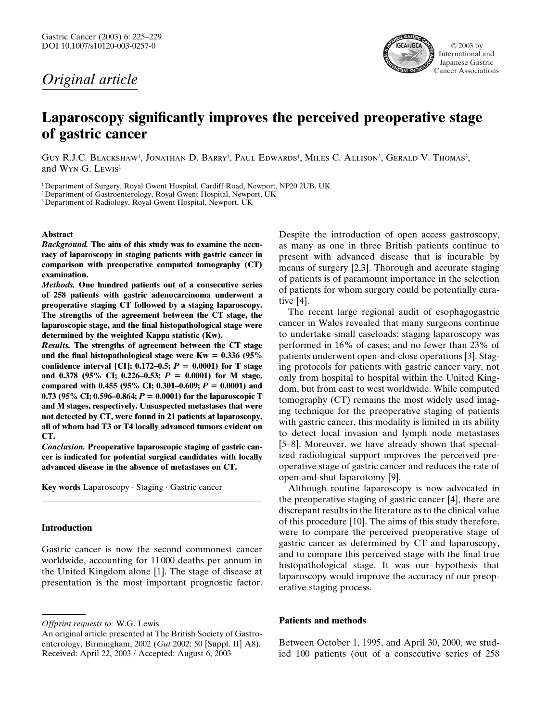## *Original article*



# **Laparoscopy significantly improves the perceived preoperative stage of gastric cancer**

GUY R.J.C. BLACKSHAW<sup>1</sup>, JONATHAN D. BARRY<sup>1</sup>, PAUL EDWARDS<sup>1</sup>, MILES C. ALLISON<sup>2</sup>, GERALD V. THOMAS<sup>3</sup>, and Wyn G. Lewis<sup>1</sup>

<sup>1</sup>Department of Surgery, Royal Gwent Hospital, Cardiff Road, Newport, NP20 2UB, UK

2Department of Gastroenterology, Royal Gwent Hospital, Newport, UK

3Department of Radiology, Royal Gwent Hospital, Newport, UK

#### **Abstract**

*Background.* **The aim of this study was to examine the accuracy of laparoscopy in staging patients with gastric cancer in comparison with preoperative computed tomography (CT) examination.**

*Methods.* **One hundred patients out of a consecutive series of 258 patients with gastric adenocarcinoma underwent a preoperative staging CT followed by a staging laparoscopy. The strengths of the agreement between the CT stage, the laparoscopic stage, and the final histopathological stage were determined by the weighted Kappa statistic (Kw).**

*Results.* **The strengths of agreement between the CT stage** and the final histopathological stage were  $Kw = 0.336$  (95%) **confidence interval [CI]; 0.172-0.5;**  $P = 0.0001$ **) for T stage and 0.378 (95% CI; 0.226–0.53;** *P* **0.0001) for M stage, compared with 0.455 (95% CI; 0.301–0.609;**  $P = 0.0001$ **) and 0.73** (95% CI; 0.596–0.864;  $P = 0.0001$ ) for the laparoscopic T **and M stages, respectively. Unsuspected metastases that were not detected by CT, were found in 21 patients at laparoscopy, all of whom had T3 or T4 locally advanced tumors evident on CT.**

*Conclusion.* **Preoperative laparoscopic staging of gastric cancer is indicated for potential surgical candidates with locally advanced disease in the absence of metastases on CT.**

**Key words** Laparoscopy · Staging · Gastric cancer

#### **Introduction**

Gastric cancer is now the second commonest cancer worldwide, accounting for 11000 deaths per annum in the United Kingdom alone [1]. The stage of disease at presentation is the most important prognostic factor.

Despite the introduction of open access gastroscopy, as many as one in three British patients continue to present with advanced disease that is incurable by means of surgery [2,3]. Thorough and accurate staging of patients is of paramount importance in the selection of patients for whom surgery could be potentially curative [4].

The recent large regional audit of esophagogastric cancer in Wales revealed that many surgeons continue to undertake small caseloads; staging laparoscopy was performed in 16% of cases; and no fewer than 23% of patients underwent open-and-close operations [3]. Staging protocols for patients with gastric cancer vary, not only from hospital to hospital within the United Kingdom, but from east to west worldwide. While computed tomography (CT) remains the most widely used imaging technique for the preoperative staging of patients with gastric cancer, this modality is limited in its ability to detect local invasion and lymph node metastases [5–8]. Moreover, we have already shown that specialized radiological support improves the perceived preoperative stage of gastric cancer and reduces the rate of open-and-shut laparotomy [9].

Although routine laparoscopy is now advocated in the preoperative staging of gastric cancer [4], there are discrepant results in the literature as to the clinical value of this procedure [10]. The aims of this study therefore, were to compare the perceived preoperative stage of gastric cancer as determined by CT and laparoscopy, and to compare this perceived stage with the final true histopathological stage. It was our hypothesis that laparoscopy would improve the accuracy of our preoperative staging process.

#### **Patients and methods**

Between October 1, 1995, and April 30, 2000, we studied 100 patients (out of a consecutive series of 258

*Offprint requests to:* W.G. Lewis

An original article presented at The British Society of Gastroenterology, Birmingham, 2002 (*Gut* 2002; 50 [Suppl. II] A8). Received: April 22, 2003 / Accepted: August 6, 2003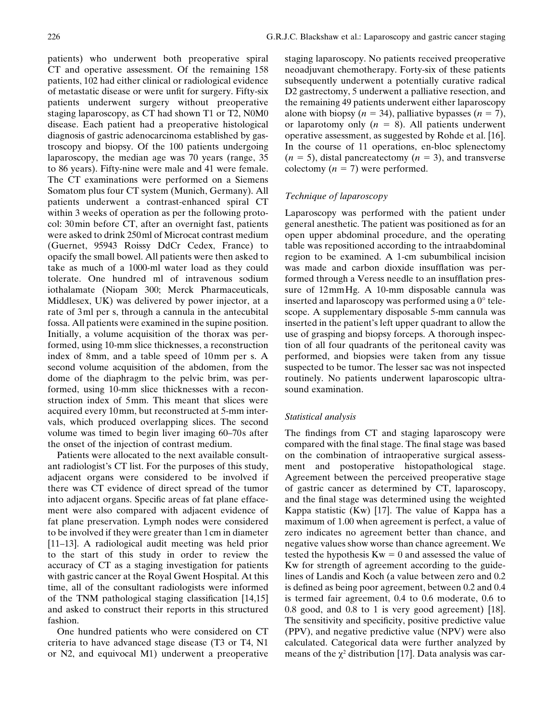patients, 102 had either clinical or radiological evidence of metastatic disease or were unfit for surgery. Fifty-six patients underwent surgery without preoperative staging laparoscopy, as CT had shown T1 or T2, N0M0 disease. Each patient had a preoperative histological diagnosis of gastric adenocarcinoma established by gastroscopy and biopsy. Of the 100 patients undergoing laparoscopy, the median age was 70 years (range, 35 to 86 years). Fifty-nine were male and 41 were female. The CT examinations were performed on a Siemens Somatom plus four CT system (Munich, Germany). All patients underwent a contrast-enhanced spiral CT within 3 weeks of operation as per the following protocol: 30min before CT, after an overnight fast, patients were asked to drink 250ml of Microcat contrast medium (Guernet, 95943 Roissy DdCr Cedex, France) to opacify the small bowel. All patients were then asked to take as much of a 1000-ml water load as they could tolerate. One hundred ml of intravenous sodium iothalamate (Niopam 300; Merck Pharmaceuticals, Middlesex, UK) was delivered by power injector, at a rate of 3ml per s, through a cannula in the antecubital fossa. All patients were examined in the supine position. Initially, a volume acquisition of the thorax was performed, using 10-mm slice thicknesses, a reconstruction index of 8mm, and a table speed of 10mm per s. A second volume acquisition of the abdomen, from the dome of the diaphragm to the pelvic brim, was performed, using 10-mm slice thicknesses with a reconstruction index of 5mm. This meant that slices were acquired every 10mm, but reconstructed at 5-mm intervals, which produced overlapping slices. The second volume was timed to begin liver imaging 60–70s after the onset of the injection of contrast medium.

Patients were allocated to the next available consultant radiologist's CT list. For the purposes of this study, adjacent organs were considered to be involved if there was CT evidence of direct spread of the tumor into adjacent organs. Specific areas of fat plane effacement were also compared with adjacent evidence of fat plane preservation. Lymph nodes were considered to be involved if they were greater than 1cm in diameter [11–13]. A radiological audit meeting was held prior to the start of this study in order to review the accuracy of CT as a staging investigation for patients with gastric cancer at the Royal Gwent Hospital. At this time, all of the consultant radiologists were informed of the TNM pathological staging classification [14,15] and asked to construct their reports in this structured fashion.

One hundred patients who were considered on CT criteria to have advanced stage disease (T3 or T4, N1 or N2, and equivocal M1) underwent a preoperative staging laparoscopy. No patients received preoperative neoadjuvant chemotherapy. Forty-six of these patients subsequently underwent a potentially curative radical D2 gastrectomy, 5 underwent a palliative resection, and the remaining 49 patients underwent either laparoscopy alone with biopsy  $(n = 34)$ , palliative bypasses  $(n = 7)$ , or laparotomy only  $(n = 8)$ . All patients underwent operative assessment, as suggested by Rohde et al. [16]. In the course of 11 operations, en-bloc splenectomy  $(n = 5)$ , distal pancreatectomy  $(n = 3)$ , and transverse colectomy  $(n = 7)$  were performed.

## *Technique of laparoscopy*

Laparoscopy was performed with the patient under general anesthetic. The patient was positioned as for an open upper abdominal procedure, and the operating table was repositioned according to the intraabdominal region to be examined. A 1-cm subumbilical incision was made and carbon dioxide insufflation was performed through a Veress needle to an insufflation pressure of 12mmHg. A 10-mm disposable cannula was inserted and laparoscopy was performed using a 0° telescope. A supplementary disposable 5-mm cannula was inserted in the patient's left upper quadrant to allow the use of grasping and biopsy forceps. A thorough inspection of all four quadrants of the peritoneal cavity was performed, and biopsies were taken from any tissue suspected to be tumor. The lesser sac was not inspected routinely. No patients underwent laparoscopic ultrasound examination.

### *Statistical analysis*

The findings from CT and staging laparoscopy were compared with the final stage. The final stage was based on the combination of intraoperative surgical assessment and postoperative histopathological stage. Agreement between the perceived preoperative stage of gastric cancer as determined by CT, laparoscopy, and the final stage was determined using the weighted Kappa statistic (Kw) [17]. The value of Kappa has a maximum of 1.00 when agreement is perfect, a value of zero indicates no agreement better than chance, and negative values show worse than chance agreement. We tested the hypothesis  $Kw = 0$  and assessed the value of Kw for strength of agreement according to the guidelines of Landis and Koch (a value between zero and 0.2 is defined as being poor agreement, between 0.2 and 0.4 is termed fair agreement, 0.4 to 0.6 moderate, 0.6 to 0.8 good, and 0.8 to 1 is very good agreement) [18]. The sensitivity and specificity, positive predictive value (PPV), and negative predictive value (NPV) were also calculated. Categorical data were further analyzed by means of the  $\chi^2$  distribution [17]. Data analysis was car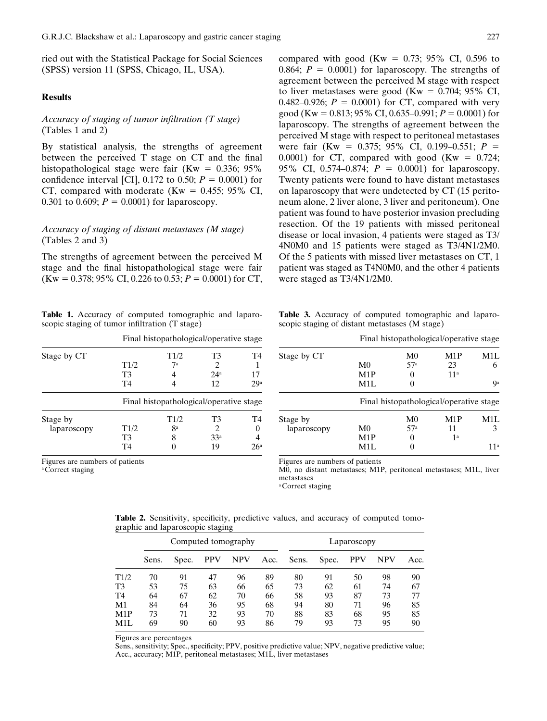ried out with the Statistical Package for Social Sciences (SPSS) version 11 (SPSS, Chicago, IL, USA).

#### **Results**

## *Accuracy of staging of tumor infiltration (T stage)* (Tables 1 and 2)

By statistical analysis, the strengths of agreement between the perceived T stage on CT and the final histopathological stage were fair (Kw =  $0.336$ ; 95% confidence interval [CI], 0.172 to 0.50;  $P = 0.0001$ ) for CT, compared with moderate (Kw =  $0.455$ ; 95% CI, 0.301 to 0.609;  $P = 0.0001$ ) for laparoscopy.

### *Accuracy of staging of distant metastases (M stage)* (Tables 2 and 3)

The strengths of agreement between the perceived M stage and the final histopathological stage were fair  $(Kw = 0.378; 95\% \text{ CI}, 0.226 \text{ to } 0.53; P = 0.0001) \text{ for CT},$ 

**Table 1.** Accuracy of computed tomographic and laparoscopic staging of tumor infiltration (T stage)

|             | Final histopathological/operative stage |                                         |                             |     |  |
|-------------|-----------------------------------------|-----------------------------------------|-----------------------------|-----|--|
| Stage by CT |                                         | T1/2                                    | T3                          | T4  |  |
|             | T1/2                                    | 7а                                      | $\mathcal{D}_{\mathcal{A}}$ |     |  |
|             | T3                                      |                                         | 24 <sup>a</sup>             | 17  |  |
|             | T4                                      |                                         | 12                          | 29a |  |
|             |                                         | Final histopathological/operative stage |                             |     |  |
| Stage by    |                                         | T1/2                                    | T3                          | T4  |  |
| laparoscopy | T1/2                                    | <b>ga</b>                               | 2                           |     |  |
|             | T3                                      | 8                                       | 33 <sup>a</sup>             |     |  |
|             | T4                                      |                                         | 19                          | 26ª |  |

Figures are numbers of patients

<sup>a</sup> Correct staging

compared with good (Kw  $= 0.73$ ; 95% CI, 0.596 to 0.864;  $P = 0.0001$  for laparoscopy. The strengths of agreement between the perceived M stage with respect to liver metastases were good (Kw =  $0.704$ ; 95% CI, 0.482–0.926;  $P = 0.0001$ ) for CT, compared with very good (Kw =  $0.813$ ; 95% CI, 0.635–0.991; *P* = 0.0001) for laparoscopy. The strengths of agreement between the perceived M stage with respect to peritoneal metastases were fair (Kw =  $0.375$ ; 95% CI, 0.199–0.551; *P* = 0.0001) for CT, compared with good (Kw  $= 0.724$ ; 95% CI, 0.574–0.874;  $P = 0.0001$  for laparoscopy. Twenty patients were found to have distant metastases on laparoscopy that were undetected by CT (15 peritoneum alone, 2 liver alone, 3 liver and peritoneum). One patient was found to have posterior invasion precluding resection. Of the 19 patients with missed peritoneal disease or local invasion, 4 patients were staged as T3/ 4N0M0 and 15 patients were staged as T3/4N1/2M0. Of the 5 patients with missed liver metastases on CT, 1 patient was staged as T4N0M0, and the other 4 patients were staged as T3/4N1/2M0.

**Table 3.** Accuracy of computed tomographic and laparoscopic staging of distant metastases (M stage)

|             |                |                | Final histopathological/operative stage |     |
|-------------|----------------|----------------|-----------------------------------------|-----|
| Stage by CT |                | M <sub>0</sub> | M <sub>1</sub> P                        | M1L |
|             | M <sub>0</sub> | 57a            | 23                                      | 6   |
|             | M1P            |                | 11 <sup>a</sup>                         |     |
|             | M1L            |                |                                         | Qa  |
|             |                |                | Final histopathological/operative stage |     |
| Stage by    |                | M <sub>0</sub> | M <sub>1</sub> P                        | M1L |
| laparoscopy | M0             | 57a            | 11                                      | 3   |
|             | M1P            |                | 1 <sup>a</sup>                          |     |
|             | M1L            |                |                                         | 11a |

Figures are numbers of patients

M0, no distant metastases; M1P, peritoneal metastases; M1L, liver metastases

<sup>a</sup> Correct staging

**Table 2.** Sensitivity, specificity, predictive values, and accuracy of computed tomographic and laparoscopic staging

|      | Computed tomography |       |            |            | Laparoscopy |       |       |            |            |      |
|------|---------------------|-------|------------|------------|-------------|-------|-------|------------|------------|------|
|      | Sens.               | Spec. | <b>PPV</b> | <b>NPV</b> | Acc.        | Sens. | Spec. | <b>PPV</b> | <b>NPV</b> | Acc. |
| T1/2 | 70                  | 91    | 47         | 96         | 89          | 80    | 91    | 50         | 98         | 90   |
| T3   | 53                  | 75    | 63         | 66         | 65          | 73    | 62    | 61         | 74         | 67   |
| T4   | 64                  | 67    | 62         | 70         | 66          | 58    | 93    | 87         | 73         | 77   |
| М1   | 84                  | 64    | 36         | 95         | 68          | 94    | 80    | 71         | 96         | 85   |
| M1P  | 73                  | 71    | 32         | 93         | 70          | 88    | 83    | 68         | 95         | 85   |
| M1L  | 69                  | 90    | 60         | 93         | 86          | 79    | 93    | 73         | 95         | 90   |
|      |                     |       |            |            |             |       |       |            |            |      |

Figures are percentages

Sens., sensitivity; Spec., specificity; PPV, positive predictive value; NPV, negative predictive value; Acc., accuracy; M1P, peritoneal metastases; M1L, liver metastases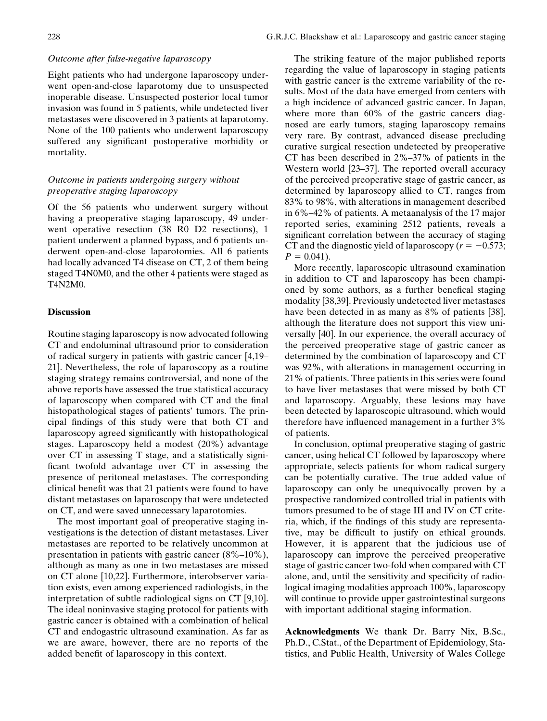#### *Outcome after false-negative laparoscopy*

Eight patients who had undergone laparoscopy underwent open-and-close laparotomy due to unsuspected inoperable disease. Unsuspected posterior local tumor invasion was found in 5 patients, while undetected liver metastases were discovered in 3 patients at laparotomy. None of the 100 patients who underwent laparoscopy suffered any significant postoperative morbidity or mortality.

## *Outcome in patients undergoing surgery without preoperative staging laparoscopy*

Of the 56 patients who underwent surgery without having a preoperative staging laparoscopy, 49 underwent operative resection (38 R0 D2 resections), 1 patient underwent a planned bypass, and 6 patients underwent open-and-close laparotomies. All 6 patients had locally advanced T4 disease on CT, 2 of them being staged T4N0M0, and the other 4 patients were staged as T4N2M0.

#### **Discussion**

Routine staging laparoscopy is now advocated following CT and endoluminal ultrasound prior to consideration of radical surgery in patients with gastric cancer [4,19– 21]. Nevertheless, the role of laparoscopy as a routine staging strategy remains controversial, and none of the above reports have assessed the true statistical accuracy of laparoscopy when compared with CT and the final histopathological stages of patients' tumors. The principal findings of this study were that both CT and laparoscopy agreed significantly with histopathological stages. Laparoscopy held a modest (20%) advantage over CT in assessing T stage, and a statistically significant twofold advantage over CT in assessing the presence of peritoneal metastases. The corresponding clinical benefit was that 21 patients were found to have distant metastases on laparoscopy that were undetected on CT, and were saved unnecessary laparotomies.

The most important goal of preoperative staging investigations is the detection of distant metastases. Liver metastases are reported to be relatively uncommon at presentation in patients with gastric cancer (8%–10%), although as many as one in two metastases are missed on CT alone [10,22]. Furthermore, interobserver variation exists, even among experienced radiologists, in the interpretation of subtle radiological signs on CT [9,10]. The ideal noninvasive staging protocol for patients with gastric cancer is obtained with a combination of helical CT and endogastric ultrasound examination. As far as we are aware, however, there are no reports of the added benefit of laparoscopy in this context.

The striking feature of the major published reports regarding the value of laparoscopy in staging patients with gastric cancer is the extreme variability of the results. Most of the data have emerged from centers with a high incidence of advanced gastric cancer. In Japan, where more than 60% of the gastric cancers diagnosed are early tumors, staging laparoscopy remains very rare. By contrast, advanced disease precluding curative surgical resection undetected by preoperative CT has been described in 2%–37% of patients in the Western world [23–37]. The reported overall accuracy of the perceived preoperative stage of gastric cancer, as determined by laparoscopy allied to CT, ranges from 83% to 98%, with alterations in management described in 6%–42% of patients. A metaanalysis of the 17 major reported series, examining 2512 patients, reveals a significant correlation between the accuracy of staging CT and the diagnostic yield of laparoscopy ( $r = -0.573$ ;  $P = 0.041$ .

More recently, laparoscopic ultrasound examination in addition to CT and laparoscopy has been championed by some authors, as a further benefical staging modality [38,39]. Previously undetected liver metastases have been detected in as many as 8% of patients [38], although the literature does not support this view universally [40]. In our experience, the overall accuracy of the perceived preoperative stage of gastric cancer as determined by the combination of laparoscopy and CT was 92%, with alterations in management occurring in 21% of patients. Three patients in this series were found to have liver metastases that were missed by both CT and laparoscopy. Arguably, these lesions may have been detected by laparoscopic ultrasound, which would therefore have influenced management in a further 3% of patients.

In conclusion, optimal preoperative staging of gastric cancer, using helical CT followed by laparoscopy where appropriate, selects patients for whom radical surgery can be potentially curative. The true added value of laparoscopy can only be unequivocally proven by a prospective randomized controlled trial in patients with tumors presumed to be of stage III and IV on CT criteria, which, if the findings of this study are representative, may be difficult to justify on ethical grounds. However, it is apparent that the judicious use of laparoscopy can improve the perceived preoperative stage of gastric cancer two-fold when compared with CT alone, and, until the sensitivity and specificity of radiological imaging modalities approach 100%, laparoscopy will continue to provide upper gastrointestinal surgeons with important additional staging information.

**Acknowledgments** We thank Dr. Barry Nix, B.Sc., Ph.D., C.Stat., of the Department of Epidemiology, Statistics, and Public Health, University of Wales College